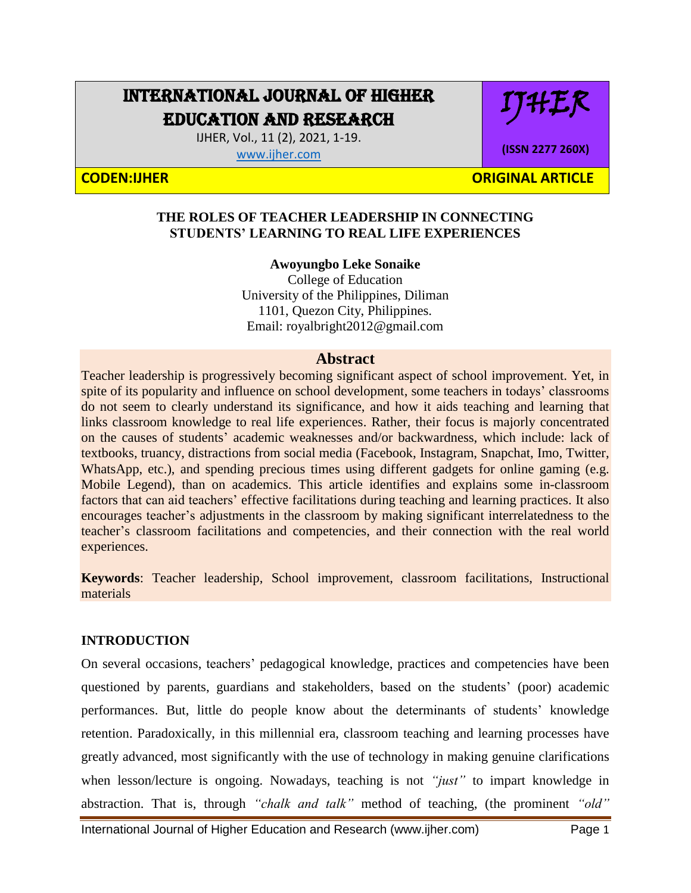# INTERNATIONAL JOURNAL OF HIGHER EDUCATION AND RESEARCH

IJHER, Vol., 11 (2), 2021, 1-19.

[www.ijher.com](http://www.ijher.com/)

IJHER

**(ISSN 2277 260X)**

**CODEN:IJHER ORIGINAL ARTICLE** 

#### **THE ROLES OF TEACHER LEADERSHIP IN CONNECTING STUDENTS' LEARNING TO REAL LIFE EXPERIENCES**

**Awoyungbo Leke Sonaike**  College of Education University of the Philippines, Diliman 1101, Quezon City, Philippines. Email: royalbright2012@gmail.com

#### **Abstract**

Teacher leadership is progressively becoming significant aspect of school improvement. Yet, in spite of its popularity and influence on school development, some teachers in todays' classrooms do not seem to clearly understand its significance, and how it aids teaching and learning that links classroom knowledge to real life experiences. Rather, their focus is majorly concentrated on the causes of students' academic weaknesses and/or backwardness, which include: lack of textbooks, truancy, distractions from social media (Facebook, Instagram, Snapchat, Imo, Twitter, WhatsApp, etc.), and spending precious times using different gadgets for online gaming (e.g. Mobile Legend), than on academics. This article identifies and explains some in-classroom factors that can aid teachers' effective facilitations during teaching and learning practices. It also encourages teacher's adjustments in the classroom by making significant interrelatedness to the teacher's classroom facilitations and competencies, and their connection with the real world experiences.

**Keywords**: Teacher leadership, School improvement, classroom facilitations, Instructional materials

### **INTRODUCTION**

On several occasions, teachers' pedagogical knowledge, practices and competencies have been questioned by parents, guardians and stakeholders, based on the students' (poor) academic performances. But, little do people know about the determinants of students' knowledge retention. Paradoxically, in this millennial era, classroom teaching and learning processes have greatly advanced, most significantly with the use of technology in making genuine clarifications when lesson/lecture is ongoing. Nowadays, teaching is not *"just"* to impart knowledge in abstraction. That is, through *"chalk and talk"* method of teaching, (the prominent *"old"* 

International Journal of Higher Education and Research (www.ijher.com) Page 1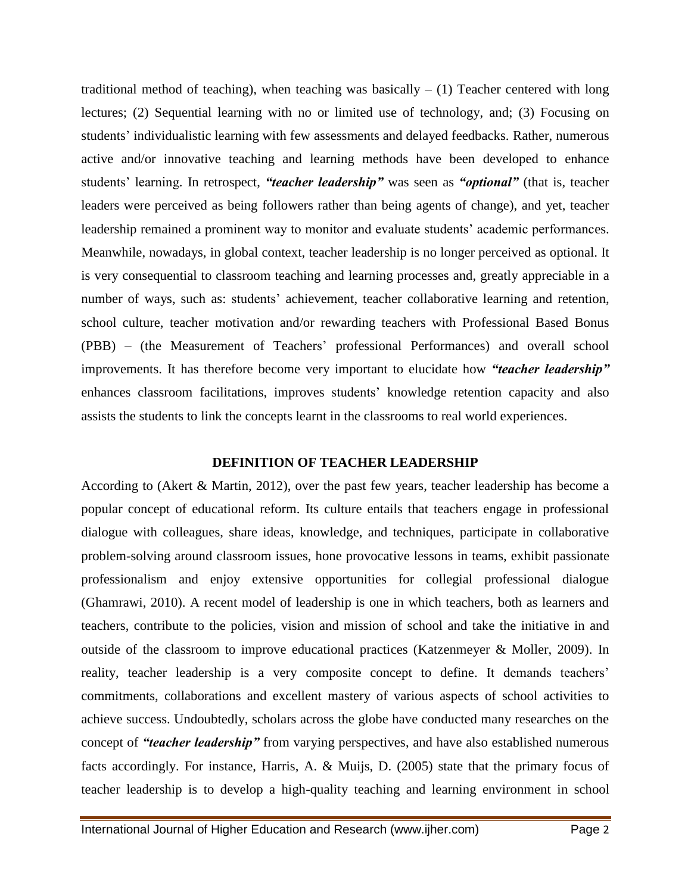traditional method of teaching), when teaching was basically  $- (1)$  Teacher centered with long lectures; (2) Sequential learning with no or limited use of technology, and; (3) Focusing on students' individualistic learning with few assessments and delayed feedbacks. Rather, numerous active and/or innovative teaching and learning methods have been developed to enhance students' learning. In retrospect, *"teacher leadership"* was seen as *"optional"* (that is, teacher leaders were perceived as being followers rather than being agents of change), and yet, teacher leadership remained a prominent way to monitor and evaluate students' academic performances. Meanwhile, nowadays, in global context, teacher leadership is no longer perceived as optional. It is very consequential to classroom teaching and learning processes and, greatly appreciable in a number of ways, such as: students' achievement, teacher collaborative learning and retention, school culture, teacher motivation and/or rewarding teachers with Professional Based Bonus (PBB) – (the Measurement of Teachers' professional Performances) and overall school improvements. It has therefore become very important to elucidate how *"teacher leadership"* enhances classroom facilitations, improves students' knowledge retention capacity and also assists the students to link the concepts learnt in the classrooms to real world experiences.

#### **DEFINITION OF TEACHER LEADERSHIP**

According to (Akert & Martin, 2012), over the past few years, teacher leadership has become a popular concept of educational reform. Its culture entails that teachers engage in professional dialogue with colleagues, share ideas, knowledge, and techniques, participate in collaborative problem-solving around classroom issues, hone provocative lessons in teams, exhibit passionate professionalism and enjoy extensive opportunities for collegial professional dialogue (Ghamrawi, 2010). A recent model of leadership is one in which teachers, both as learners and teachers, contribute to the policies, vision and mission of school and take the initiative in and outside of the classroom to improve educational practices (Katzenmeyer & Moller, 2009). In reality, teacher leadership is a very composite concept to define. It demands teachers' commitments, collaborations and excellent mastery of various aspects of school activities to achieve success. Undoubtedly, scholars across the globe have conducted many researches on the concept of *"teacher leadership"* from varying perspectives, and have also established numerous facts accordingly. For instance, Harris, A. & Muijs, D. (2005) state that the primary focus of teacher leadership is to develop a high-quality teaching and learning environment in school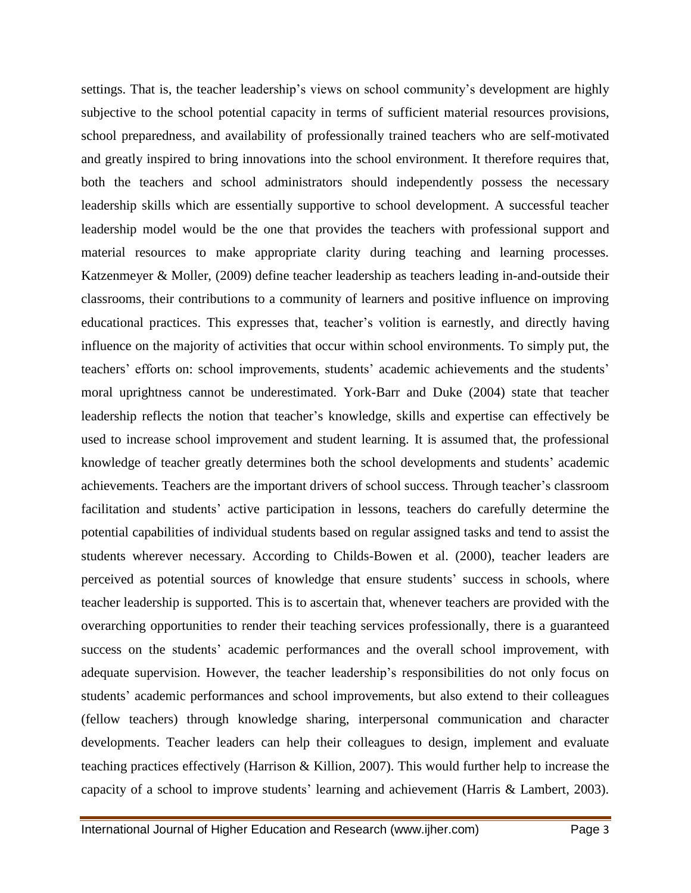settings. That is, the teacher leadership's views on school community's development are highly subjective to the school potential capacity in terms of sufficient material resources provisions, school preparedness, and availability of professionally trained teachers who are self-motivated and greatly inspired to bring innovations into the school environment. It therefore requires that, both the teachers and school administrators should independently possess the necessary leadership skills which are essentially supportive to school development. A successful teacher leadership model would be the one that provides the teachers with professional support and material resources to make appropriate clarity during teaching and learning processes. Katzenmeyer & Moller, (2009) define teacher leadership as teachers leading in-and-outside their classrooms, their contributions to a community of learners and positive influence on improving educational practices. This expresses that, teacher's volition is earnestly, and directly having influence on the majority of activities that occur within school environments. To simply put, the teachers' efforts on: school improvements, students' academic achievements and the students' moral uprightness cannot be underestimated. York-Barr and Duke (2004) state that teacher leadership reflects the notion that teacher's knowledge, skills and expertise can effectively be used to increase school improvement and student learning. It is assumed that, the professional knowledge of teacher greatly determines both the school developments and students' academic achievements. Teachers are the important drivers of school success. Through teacher's classroom facilitation and students' active participation in lessons, teachers do carefully determine the potential capabilities of individual students based on regular assigned tasks and tend to assist the students wherever necessary. According to Childs-Bowen et al. (2000), teacher leaders are perceived as potential sources of knowledge that ensure students' success in schools, where teacher leadership is supported. This is to ascertain that, whenever teachers are provided with the overarching opportunities to render their teaching services professionally, there is a guaranteed success on the students' academic performances and the overall school improvement, with adequate supervision. However, the teacher leadership's responsibilities do not only focus on students' academic performances and school improvements, but also extend to their colleagues (fellow teachers) through knowledge sharing, interpersonal communication and character developments. Teacher leaders can help their colleagues to design, implement and evaluate teaching practices effectively (Harrison & Killion, 2007). This would further help to increase the capacity of a school to improve students' learning and achievement (Harris & Lambert, 2003).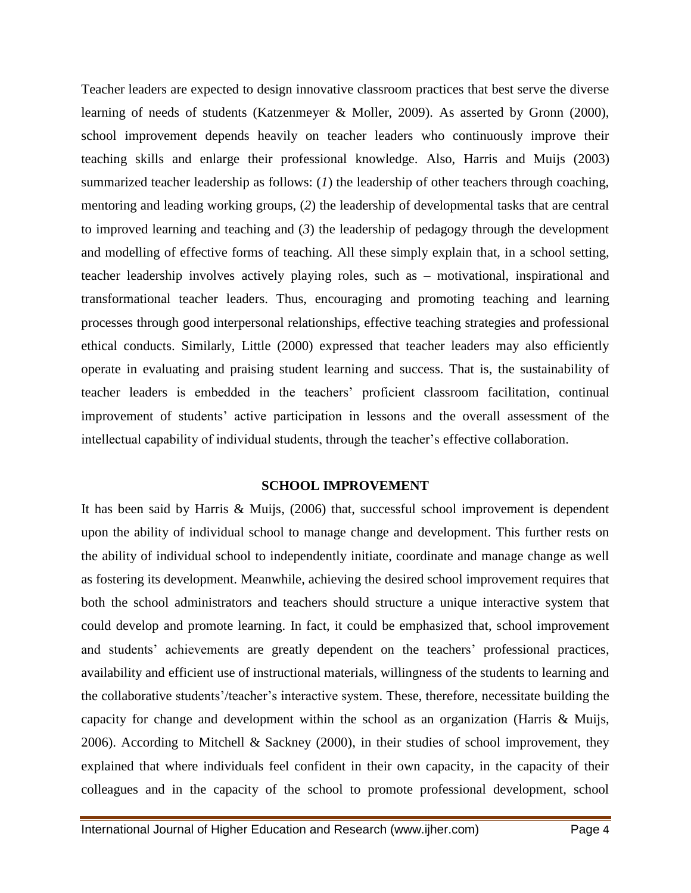Teacher leaders are expected to design innovative classroom practices that best serve the diverse learning of needs of students (Katzenmeyer & Moller, 2009). As asserted by Gronn (2000), school improvement depends heavily on teacher leaders who continuously improve their teaching skills and enlarge their professional knowledge. Also, Harris and Muijs (2003) summarized teacher leadership as follows: (*1*) the leadership of other teachers through coaching, mentoring and leading working groups, (*2*) the leadership of developmental tasks that are central to improved learning and teaching and (*3*) the leadership of pedagogy through the development and modelling of effective forms of teaching. All these simply explain that, in a school setting, teacher leadership involves actively playing roles, such as – motivational, inspirational and transformational teacher leaders. Thus, encouraging and promoting teaching and learning processes through good interpersonal relationships, effective teaching strategies and professional ethical conducts. Similarly, Little (2000) expressed that teacher leaders may also efficiently operate in evaluating and praising student learning and success. That is, the sustainability of teacher leaders is embedded in the teachers' proficient classroom facilitation, continual improvement of students' active participation in lessons and the overall assessment of the intellectual capability of individual students, through the teacher's effective collaboration.

#### **SCHOOL IMPROVEMENT**

It has been said by Harris & Muijs, (2006) that, successful school improvement is dependent upon the ability of individual school to manage change and development. This further rests on the ability of individual school to independently initiate, coordinate and manage change as well as fostering its development. Meanwhile, achieving the desired school improvement requires that both the school administrators and teachers should structure a unique interactive system that could develop and promote learning. In fact, it could be emphasized that, school improvement and students' achievements are greatly dependent on the teachers' professional practices, availability and efficient use of instructional materials, willingness of the students to learning and the collaborative students'/teacher's interactive system. These, therefore, necessitate building the capacity for change and development within the school as an organization (Harris & Muijs, 2006). According to Mitchell & Sackney (2000), in their studies of school improvement, they explained that where individuals feel confident in their own capacity, in the capacity of their colleagues and in the capacity of the school to promote professional development, school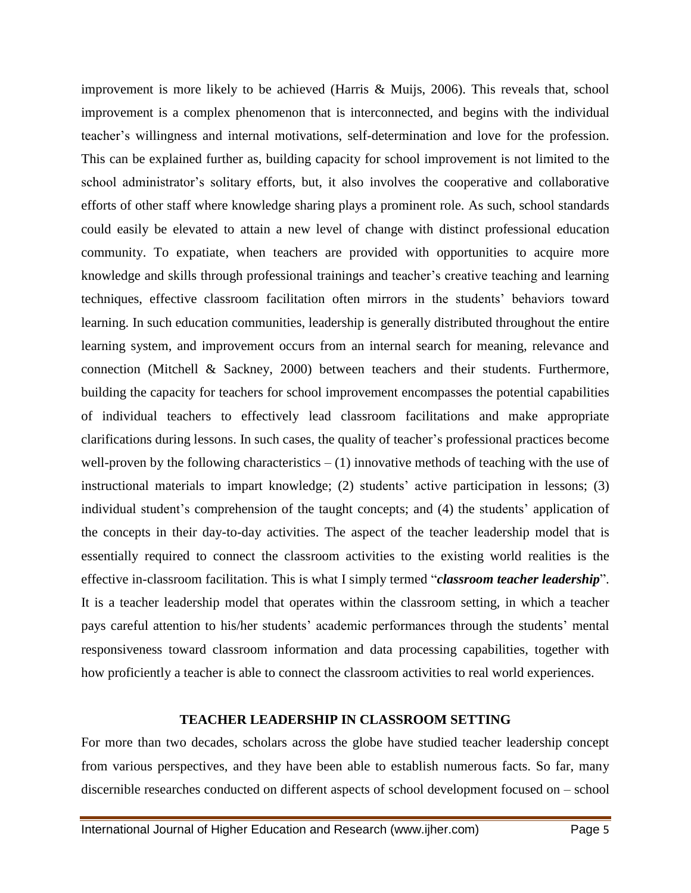improvement is more likely to be achieved (Harris & Muijs, 2006). This reveals that, school improvement is a complex phenomenon that is interconnected, and begins with the individual teacher's willingness and internal motivations, self-determination and love for the profession. This can be explained further as, building capacity for school improvement is not limited to the school administrator's solitary efforts, but, it also involves the cooperative and collaborative efforts of other staff where knowledge sharing plays a prominent role. As such, school standards could easily be elevated to attain a new level of change with distinct professional education community. To expatiate, when teachers are provided with opportunities to acquire more knowledge and skills through professional trainings and teacher's creative teaching and learning techniques, effective classroom facilitation often mirrors in the students' behaviors toward learning. In such education communities, leadership is generally distributed throughout the entire learning system, and improvement occurs from an internal search for meaning, relevance and connection (Mitchell & Sackney, 2000) between teachers and their students. Furthermore, building the capacity for teachers for school improvement encompasses the potential capabilities of individual teachers to effectively lead classroom facilitations and make appropriate clarifications during lessons. In such cases, the quality of teacher's professional practices become well-proven by the following characteristics  $- (1)$  innovative methods of teaching with the use of instructional materials to impart knowledge; (2) students' active participation in lessons; (3) individual student's comprehension of the taught concepts; and (4) the students' application of the concepts in their day-to-day activities. The aspect of the teacher leadership model that is essentially required to connect the classroom activities to the existing world realities is the effective in-classroom facilitation. This is what I simply termed "*classroom teacher leadership*". It is a teacher leadership model that operates within the classroom setting, in which a teacher pays careful attention to his/her students' academic performances through the students' mental responsiveness toward classroom information and data processing capabilities, together with how proficiently a teacher is able to connect the classroom activities to real world experiences.

#### **TEACHER LEADERSHIP IN CLASSROOM SETTING**

For more than two decades, scholars across the globe have studied teacher leadership concept from various perspectives, and they have been able to establish numerous facts. So far, many discernible researches conducted on different aspects of school development focused on – school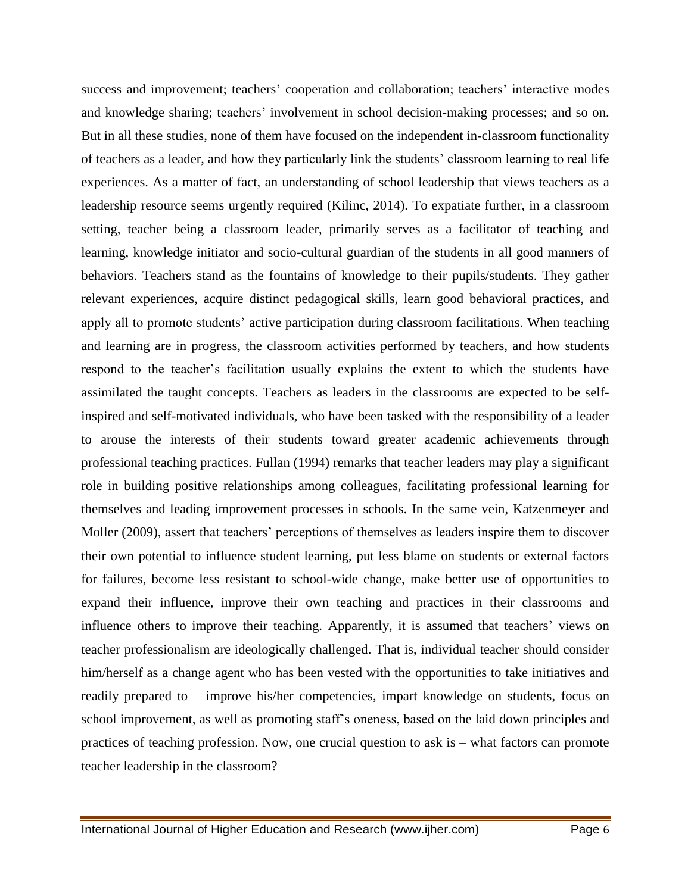success and improvement; teachers' cooperation and collaboration; teachers' interactive modes and knowledge sharing; teachers' involvement in school decision-making processes; and so on. But in all these studies, none of them have focused on the independent in-classroom functionality of teachers as a leader, and how they particularly link the students' classroom learning to real life experiences. As a matter of fact, an understanding of school leadership that views teachers as a leadership resource seems urgently required (Kilinc, 2014). To expatiate further, in a classroom setting, teacher being a classroom leader, primarily serves as a facilitator of teaching and learning, knowledge initiator and socio-cultural guardian of the students in all good manners of behaviors. Teachers stand as the fountains of knowledge to their pupils/students. They gather relevant experiences, acquire distinct pedagogical skills, learn good behavioral practices, and apply all to promote students' active participation during classroom facilitations. When teaching and learning are in progress, the classroom activities performed by teachers, and how students respond to the teacher's facilitation usually explains the extent to which the students have assimilated the taught concepts. Teachers as leaders in the classrooms are expected to be selfinspired and self-motivated individuals, who have been tasked with the responsibility of a leader to arouse the interests of their students toward greater academic achievements through professional teaching practices. Fullan (1994) remarks that teacher leaders may play a significant role in building positive relationships among colleagues, facilitating professional learning for themselves and leading improvement processes in schools. In the same vein, Katzenmeyer and Moller (2009), assert that teachers' perceptions of themselves as leaders inspire them to discover their own potential to influence student learning, put less blame on students or external factors for failures, become less resistant to school-wide change, make better use of opportunities to expand their influence, improve their own teaching and practices in their classrooms and influence others to improve their teaching. Apparently, it is assumed that teachers' views on teacher professionalism are ideologically challenged. That is, individual teacher should consider him/herself as a change agent who has been vested with the opportunities to take initiatives and readily prepared to – improve his/her competencies, impart knowledge on students, focus on school improvement, as well as promoting staff's oneness, based on the laid down principles and practices of teaching profession. Now, one crucial question to ask is – what factors can promote teacher leadership in the classroom?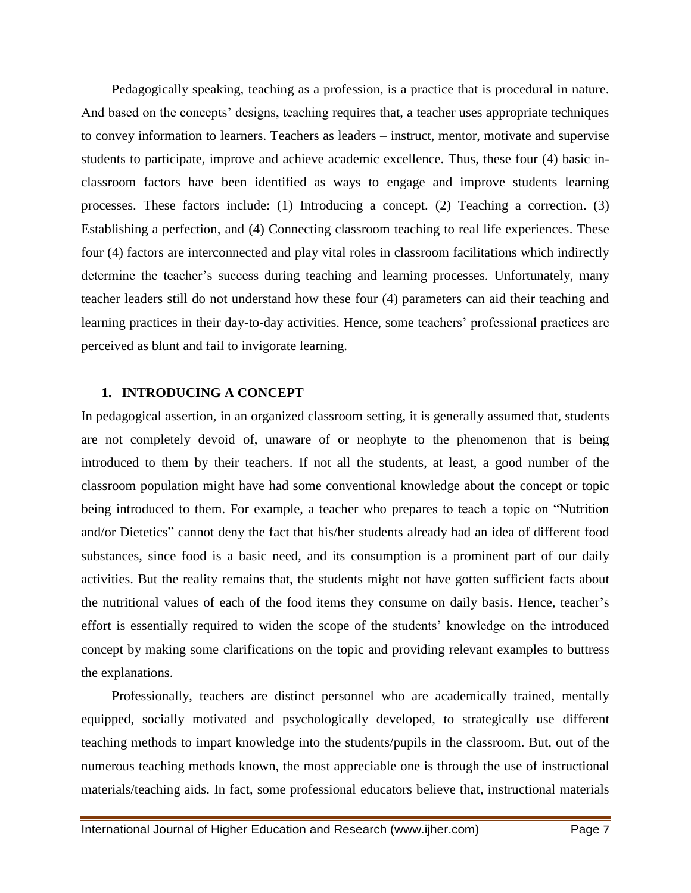Pedagogically speaking, teaching as a profession, is a practice that is procedural in nature. And based on the concepts' designs, teaching requires that, a teacher uses appropriate techniques to convey information to learners. Teachers as leaders – instruct, mentor, motivate and supervise students to participate, improve and achieve academic excellence. Thus, these four (4) basic inclassroom factors have been identified as ways to engage and improve students learning processes. These factors include: (1) Introducing a concept. (2) Teaching a correction. (3) Establishing a perfection, and (4) Connecting classroom teaching to real life experiences. These four (4) factors are interconnected and play vital roles in classroom facilitations which indirectly determine the teacher's success during teaching and learning processes. Unfortunately, many teacher leaders still do not understand how these four (4) parameters can aid their teaching and learning practices in their day-to-day activities. Hence, some teachers' professional practices are perceived as blunt and fail to invigorate learning.

#### **1. INTRODUCING A CONCEPT**

In pedagogical assertion, in an organized classroom setting, it is generally assumed that, students are not completely devoid of, unaware of or neophyte to the phenomenon that is being introduced to them by their teachers. If not all the students, at least, a good number of the classroom population might have had some conventional knowledge about the concept or topic being introduced to them. For example, a teacher who prepares to teach a topic on "Nutrition and/or Dietetics" cannot deny the fact that his/her students already had an idea of different food substances, since food is a basic need, and its consumption is a prominent part of our daily activities. But the reality remains that, the students might not have gotten sufficient facts about the nutritional values of each of the food items they consume on daily basis. Hence, teacher's effort is essentially required to widen the scope of the students' knowledge on the introduced concept by making some clarifications on the topic and providing relevant examples to buttress the explanations.

Professionally, teachers are distinct personnel who are academically trained, mentally equipped, socially motivated and psychologically developed, to strategically use different teaching methods to impart knowledge into the students/pupils in the classroom. But, out of the numerous teaching methods known, the most appreciable one is through the use of instructional materials/teaching aids. In fact, some professional educators believe that, instructional materials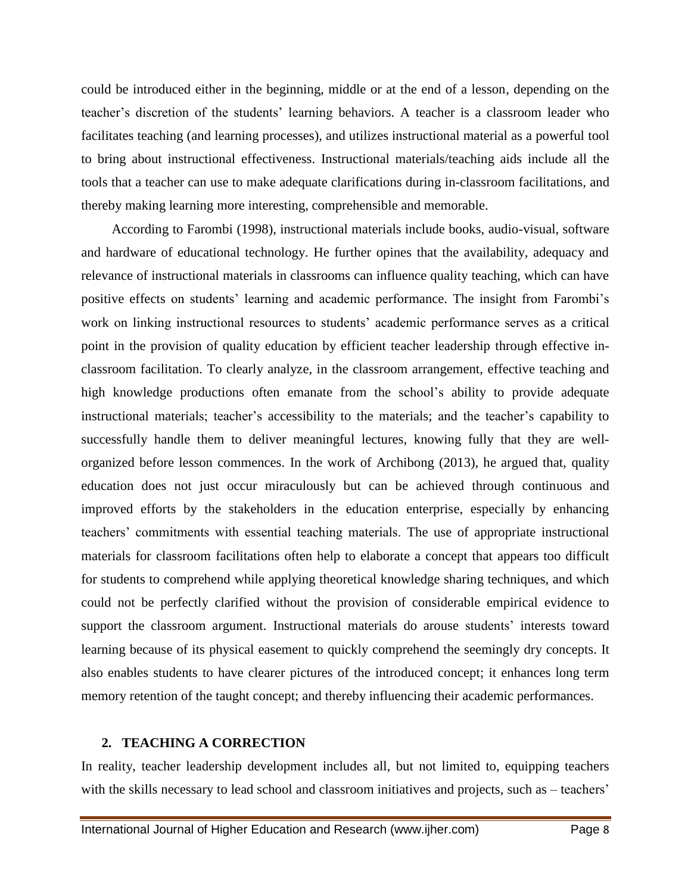could be introduced either in the beginning, middle or at the end of a lesson, depending on the teacher's discretion of the students' learning behaviors. A teacher is a classroom leader who facilitates teaching (and learning processes), and utilizes instructional material as a powerful tool to bring about instructional effectiveness. Instructional materials/teaching aids include all the tools that a teacher can use to make adequate clarifications during in-classroom facilitations, and thereby making learning more interesting, comprehensible and memorable.

According to Farombi (1998), instructional materials include books, audio-visual, software and hardware of educational technology. He further opines that the availability, adequacy and relevance of instructional materials in classrooms can influence quality teaching, which can have positive effects on students' learning and academic performance. The insight from Farombi's work on linking instructional resources to students' academic performance serves as a critical point in the provision of quality education by efficient teacher leadership through effective inclassroom facilitation. To clearly analyze, in the classroom arrangement, effective teaching and high knowledge productions often emanate from the school's ability to provide adequate instructional materials; teacher's accessibility to the materials; and the teacher's capability to successfully handle them to deliver meaningful lectures, knowing fully that they are wellorganized before lesson commences. In the work of Archibong (2013), he argued that, quality education does not just occur miraculously but can be achieved through continuous and improved efforts by the stakeholders in the education enterprise, especially by enhancing teachers' commitments with essential teaching materials. The use of appropriate instructional materials for classroom facilitations often help to elaborate a concept that appears too difficult for students to comprehend while applying theoretical knowledge sharing techniques, and which could not be perfectly clarified without the provision of considerable empirical evidence to support the classroom argument. Instructional materials do arouse students' interests toward learning because of its physical easement to quickly comprehend the seemingly dry concepts. It also enables students to have clearer pictures of the introduced concept; it enhances long term memory retention of the taught concept; and thereby influencing their academic performances.

#### **2. TEACHING A CORRECTION**

In reality, teacher leadership development includes all, but not limited to, equipping teachers with the skills necessary to lead school and classroom initiatives and projects, such as – teachers'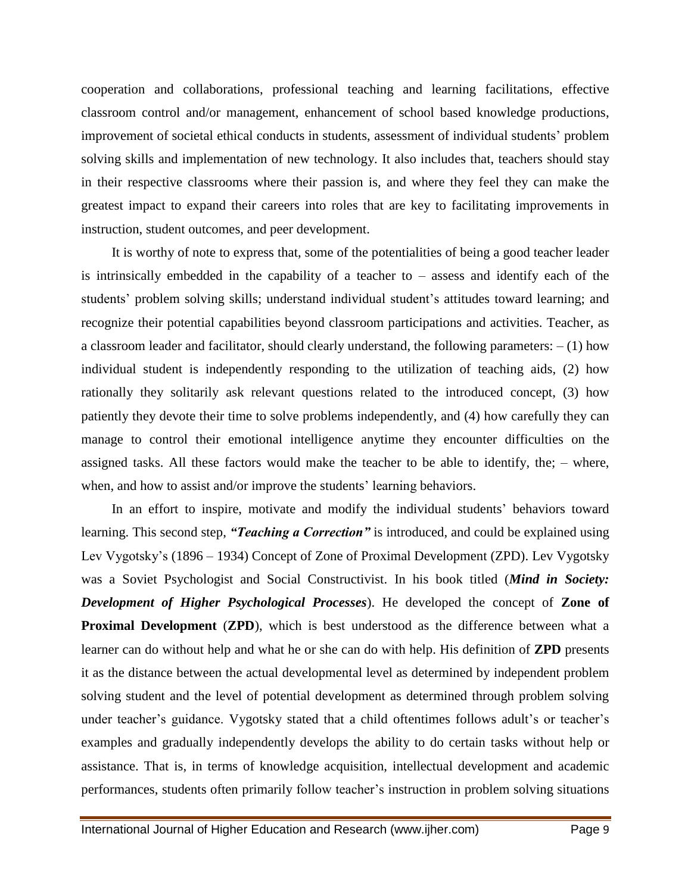cooperation and collaborations, professional teaching and learning facilitations, effective classroom control and/or management, enhancement of school based knowledge productions, improvement of societal ethical conducts in students, assessment of individual students' problem solving skills and implementation of new technology. It also includes that, teachers should stay in their respective classrooms where their passion is, and where they feel they can make the greatest impact to expand their careers into roles that are key to facilitating improvements in instruction, student outcomes, and peer development.

It is worthy of note to express that, some of the potentialities of being a good teacher leader is intrinsically embedded in the capability of a teacher to  $-$  assess and identify each of the students' problem solving skills; understand individual student's attitudes toward learning; and recognize their potential capabilities beyond classroom participations and activities. Teacher, as a classroom leader and facilitator, should clearly understand, the following parameters:  $- (1)$  how individual student is independently responding to the utilization of teaching aids, (2) how rationally they solitarily ask relevant questions related to the introduced concept, (3) how patiently they devote their time to solve problems independently, and (4) how carefully they can manage to control their emotional intelligence anytime they encounter difficulties on the assigned tasks. All these factors would make the teacher to be able to identify, the; – where, when, and how to assist and/or improve the students' learning behaviors.

In an effort to inspire, motivate and modify the individual students' behaviors toward learning. This second step, *"Teaching a Correction"* is introduced, and could be explained using Lev Vygotsky's (1896 – 1934) Concept of Zone of Proximal Development (ZPD). Lev Vygotsky was a Soviet Psychologist and Social Constructivist. In his book titled (*Mind in Society: Development of Higher Psychological Processes*). He developed the concept of **Zone of Proximal Development (ZPD),** which is best understood as the difference between what a learner can do without help and what he or she can do with help. His definition of **ZPD** presents it as the distance between the actual developmental level as determined by independent problem solving student and the level of potential development as determined through problem solving under teacher's guidance. Vygotsky stated that a child oftentimes follows adult's or teacher's examples and gradually independently develops the ability to do certain tasks without help or assistance. That is, in terms of knowledge acquisition, intellectual development and academic performances, students often primarily follow teacher's instruction in problem solving situations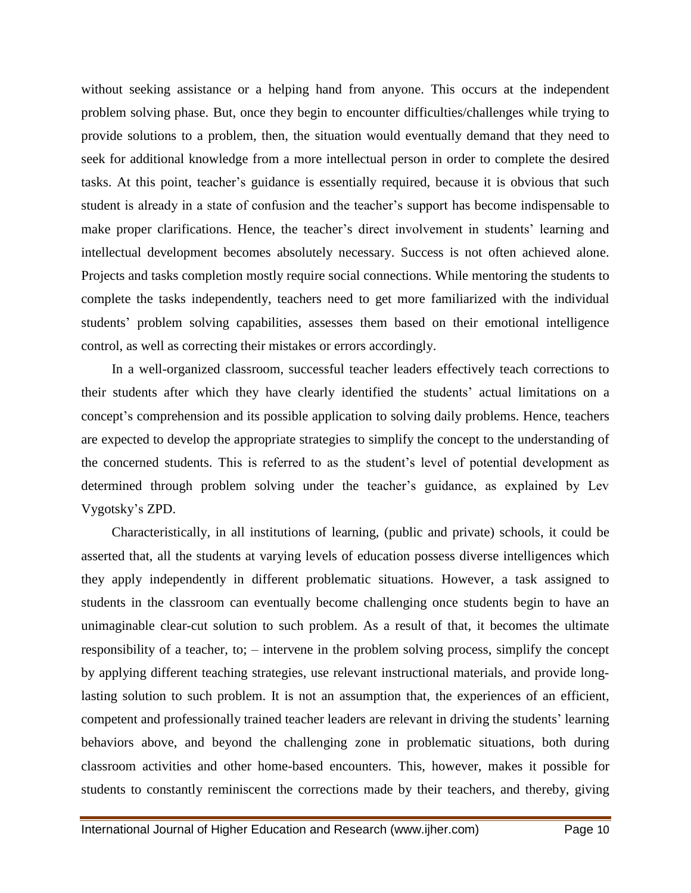without seeking assistance or a helping hand from anyone. This occurs at the independent problem solving phase. But, once they begin to encounter difficulties/challenges while trying to provide solutions to a problem, then, the situation would eventually demand that they need to seek for additional knowledge from a more intellectual person in order to complete the desired tasks. At this point, teacher's guidance is essentially required, because it is obvious that such student is already in a state of confusion and the teacher's support has become indispensable to make proper clarifications. Hence, the teacher's direct involvement in students' learning and intellectual development becomes absolutely necessary. Success is not often achieved alone. Projects and tasks completion mostly require social connections. While mentoring the students to complete the tasks independently, teachers need to get more familiarized with the individual students' problem solving capabilities, assesses them based on their emotional intelligence control, as well as correcting their mistakes or errors accordingly.

In a well-organized classroom, successful teacher leaders effectively teach corrections to their students after which they have clearly identified the students' actual limitations on a concept's comprehension and its possible application to solving daily problems. Hence, teachers are expected to develop the appropriate strategies to simplify the concept to the understanding of the concerned students. This is referred to as the student's level of potential development as determined through problem solving under the teacher's guidance, as explained by Lev Vygotsky's ZPD.

Characteristically, in all institutions of learning, (public and private) schools, it could be asserted that, all the students at varying levels of education possess diverse intelligences which they apply independently in different problematic situations. However, a task assigned to students in the classroom can eventually become challenging once students begin to have an unimaginable clear-cut solution to such problem. As a result of that, it becomes the ultimate responsibility of a teacher, to; – intervene in the problem solving process, simplify the concept by applying different teaching strategies, use relevant instructional materials, and provide longlasting solution to such problem. It is not an assumption that, the experiences of an efficient, competent and professionally trained teacher leaders are relevant in driving the students' learning behaviors above, and beyond the challenging zone in problematic situations, both during classroom activities and other home-based encounters. This, however, makes it possible for students to constantly reminiscent the corrections made by their teachers, and thereby, giving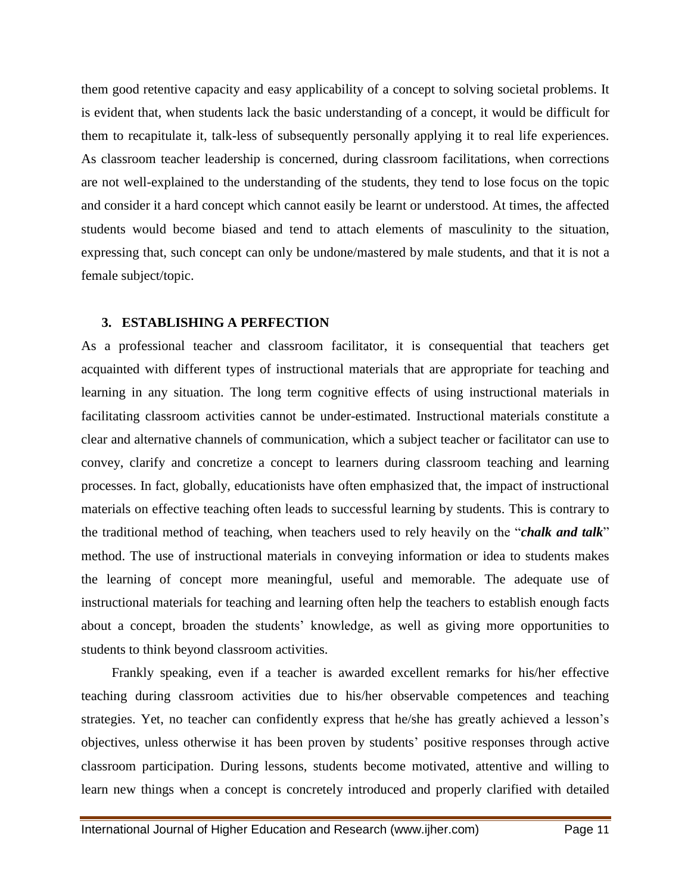them good retentive capacity and easy applicability of a concept to solving societal problems. It is evident that, when students lack the basic understanding of a concept, it would be difficult for them to recapitulate it, talk-less of subsequently personally applying it to real life experiences. As classroom teacher leadership is concerned, during classroom facilitations, when corrections are not well-explained to the understanding of the students, they tend to lose focus on the topic and consider it a hard concept which cannot easily be learnt or understood. At times, the affected students would become biased and tend to attach elements of masculinity to the situation, expressing that, such concept can only be undone/mastered by male students, and that it is not a female subject/topic.

#### **3. ESTABLISHING A PERFECTION**

As a professional teacher and classroom facilitator, it is consequential that teachers get acquainted with different types of instructional materials that are appropriate for teaching and learning in any situation. The long term cognitive effects of using instructional materials in facilitating classroom activities cannot be under-estimated. Instructional materials constitute a clear and alternative channels of communication, which a subject teacher or facilitator can use to convey, clarify and concretize a concept to learners during classroom teaching and learning processes. In fact, globally, educationists have often emphasized that, the impact of instructional materials on effective teaching often leads to successful learning by students. This is contrary to the traditional method of teaching, when teachers used to rely heavily on the "*chalk and talk*" method. The use of instructional materials in conveying information or idea to students makes the learning of concept more meaningful, useful and memorable. The adequate use of instructional materials for teaching and learning often help the teachers to establish enough facts about a concept, broaden the students' knowledge, as well as giving more opportunities to students to think beyond classroom activities.

Frankly speaking, even if a teacher is awarded excellent remarks for his/her effective teaching during classroom activities due to his/her observable competences and teaching strategies. Yet, no teacher can confidently express that he/she has greatly achieved a lesson's objectives, unless otherwise it has been proven by students' positive responses through active classroom participation. During lessons, students become motivated, attentive and willing to learn new things when a concept is concretely introduced and properly clarified with detailed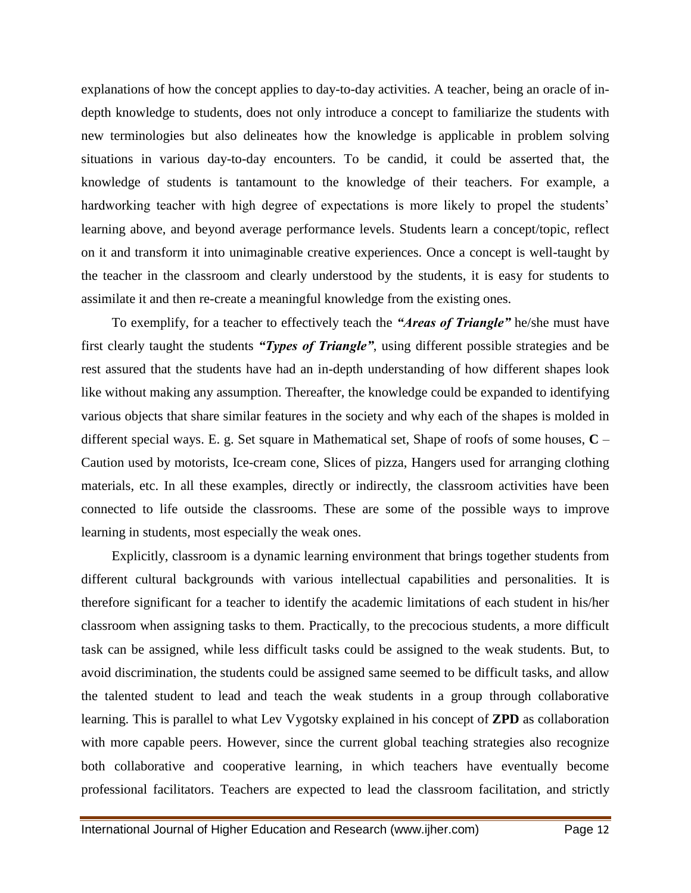explanations of how the concept applies to day-to-day activities. A teacher, being an oracle of indepth knowledge to students, does not only introduce a concept to familiarize the students with new terminologies but also delineates how the knowledge is applicable in problem solving situations in various day-to-day encounters. To be candid, it could be asserted that, the knowledge of students is tantamount to the knowledge of their teachers. For example, a hardworking teacher with high degree of expectations is more likely to propel the students' learning above, and beyond average performance levels. Students learn a concept/topic, reflect on it and transform it into unimaginable creative experiences. Once a concept is well-taught by the teacher in the classroom and clearly understood by the students, it is easy for students to assimilate it and then re-create a meaningful knowledge from the existing ones.

To exemplify, for a teacher to effectively teach the *"Areas of Triangle"* he/she must have first clearly taught the students *"Types of Triangle"*, using different possible strategies and be rest assured that the students have had an in-depth understanding of how different shapes look like without making any assumption. Thereafter, the knowledge could be expanded to identifying various objects that share similar features in the society and why each of the shapes is molded in different special ways. E. g. Set square in Mathematical set, Shape of roofs of some houses, **C** – Caution used by motorists, Ice-cream cone, Slices of pizza, Hangers used for arranging clothing materials, etc. In all these examples, directly or indirectly, the classroom activities have been connected to life outside the classrooms. These are some of the possible ways to improve learning in students, most especially the weak ones.

Explicitly, classroom is a dynamic learning environment that brings together students from different cultural backgrounds with various intellectual capabilities and personalities. It is therefore significant for a teacher to identify the academic limitations of each student in his/her classroom when assigning tasks to them. Practically, to the precocious students, a more difficult task can be assigned, while less difficult tasks could be assigned to the weak students. But, to avoid discrimination, the students could be assigned same seemed to be difficult tasks, and allow the talented student to lead and teach the weak students in a group through collaborative learning. This is parallel to what Lev Vygotsky explained in his concept of **ZPD** as collaboration with more capable peers. However, since the current global teaching strategies also recognize both collaborative and cooperative learning, in which teachers have eventually become professional facilitators. Teachers are expected to lead the classroom facilitation, and strictly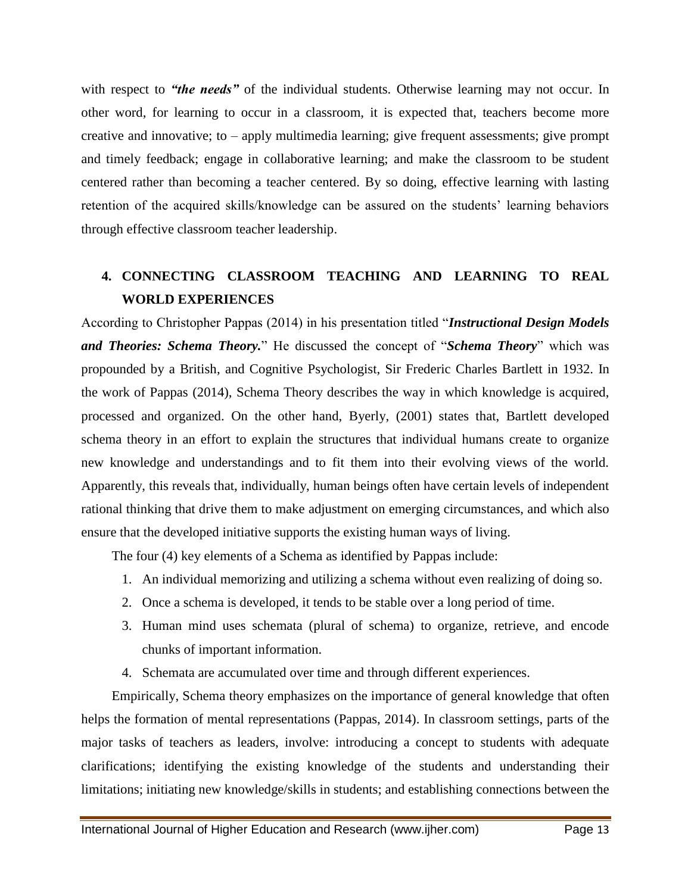with respect to *"the needs*" of the individual students. Otherwise learning may not occur. In other word, for learning to occur in a classroom, it is expected that, teachers become more creative and innovative; to – apply multimedia learning; give frequent assessments; give prompt and timely feedback; engage in collaborative learning; and make the classroom to be student centered rather than becoming a teacher centered. By so doing, effective learning with lasting retention of the acquired skills/knowledge can be assured on the students' learning behaviors through effective classroom teacher leadership.

## **4. CONNECTING CLASSROOM TEACHING AND LEARNING TO REAL WORLD EXPERIENCES**

According to Christopher Pappas (2014) in his presentation titled "*Instructional Design Models and Theories: Schema Theory.*" He discussed the concept of "*Schema Theory*" which was propounded by a British, and Cognitive Psychologist, Sir Frederic Charles Bartlett in 1932. In the work of Pappas (2014), Schema Theory describes the way in which knowledge is acquired, processed and organized. On the other hand, Byerly, (2001) states that, Bartlett developed schema theory in an effort to explain the structures that individual humans create to organize new knowledge and understandings and to fit them into their evolving views of the world. Apparently, this reveals that, individually, human beings often have certain levels of independent rational thinking that drive them to make adjustment on emerging circumstances, and which also ensure that the developed initiative supports the existing human ways of living.

The four (4) key elements of a Schema as identified by Pappas include:

- 1. An individual memorizing and utilizing a schema without even realizing of doing so.
- 2. Once a schema is developed, it tends to be stable over a long period of time.
- 3. Human mind uses schemata (plural of schema) to organize, retrieve, and encode chunks of important information.
- 4. Schemata are accumulated over time and through different experiences.

Empirically, Schema theory emphasizes on the importance of general knowledge that often helps the formation of mental representations (Pappas, 2014). In classroom settings, parts of the major tasks of teachers as leaders, involve: introducing a concept to students with adequate clarifications; identifying the existing knowledge of the students and understanding their limitations; initiating new knowledge/skills in students; and establishing connections between the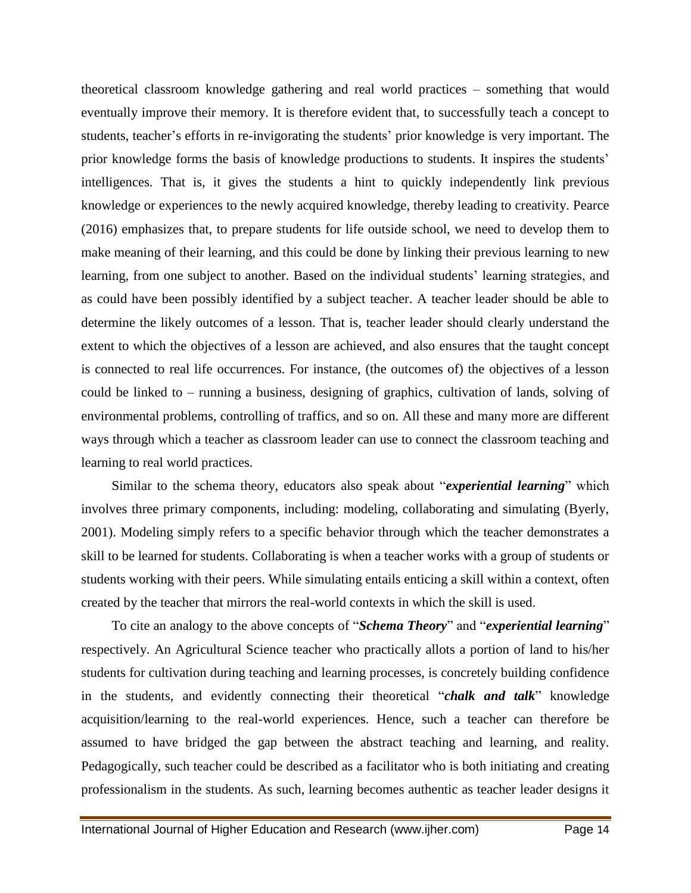theoretical classroom knowledge gathering and real world practices – something that would eventually improve their memory. It is therefore evident that, to successfully teach a concept to students, teacher's efforts in re-invigorating the students' prior knowledge is very important. The prior knowledge forms the basis of knowledge productions to students. It inspires the students' intelligences. That is, it gives the students a hint to quickly independently link previous knowledge or experiences to the newly acquired knowledge, thereby leading to creativity. Pearce (2016) emphasizes that, to prepare students for life outside school, we need to develop them to make meaning of their learning, and this could be done by linking their previous learning to new learning, from one subject to another. Based on the individual students' learning strategies, and as could have been possibly identified by a subject teacher. A teacher leader should be able to determine the likely outcomes of a lesson. That is, teacher leader should clearly understand the extent to which the objectives of a lesson are achieved, and also ensures that the taught concept is connected to real life occurrences. For instance, (the outcomes of) the objectives of a lesson could be linked to – running a business, designing of graphics, cultivation of lands, solving of environmental problems, controlling of traffics, and so on. All these and many more are different ways through which a teacher as classroom leader can use to connect the classroom teaching and learning to real world practices.

Similar to the schema theory, educators also speak about "*experiential learning*" which involves three primary components, including: modeling, collaborating and simulating (Byerly, 2001). Modeling simply refers to a specific behavior through which the teacher demonstrates a skill to be learned for students. Collaborating is when a teacher works with a group of students or students working with their peers. While simulating entails enticing a skill within a context, often created by the teacher that mirrors the real-world contexts in which the skill is used.

To cite an analogy to the above concepts of "*Schema Theory*" and "*experiential learning*" respectively. An Agricultural Science teacher who practically allots a portion of land to his/her students for cultivation during teaching and learning processes, is concretely building confidence in the students, and evidently connecting their theoretical "*chalk and talk*" knowledge acquisition/learning to the real-world experiences. Hence, such a teacher can therefore be assumed to have bridged the gap between the abstract teaching and learning, and reality. Pedagogically, such teacher could be described as a facilitator who is both initiating and creating professionalism in the students. As such, learning becomes authentic as teacher leader designs it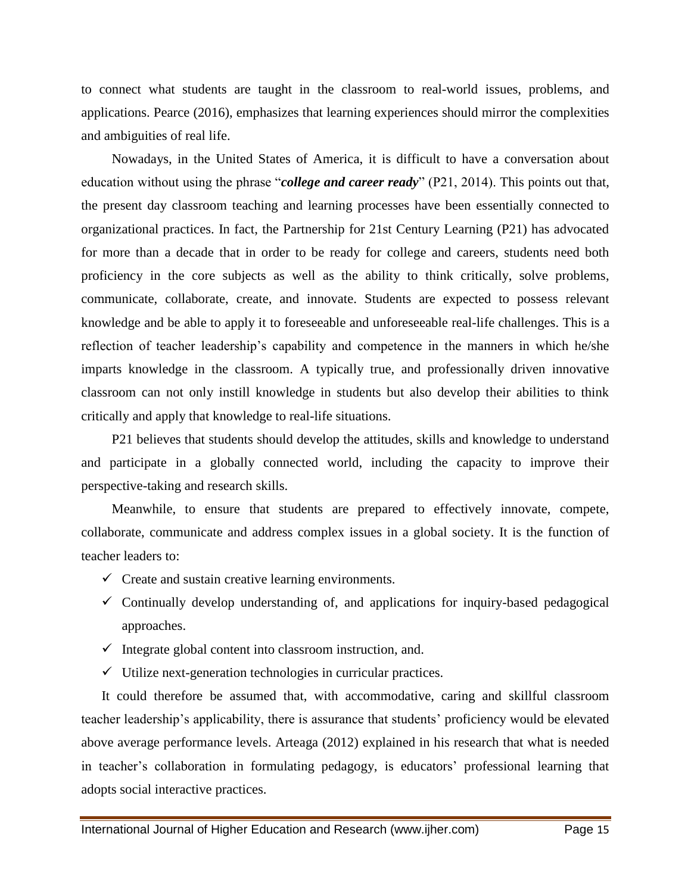to connect what students are taught in the classroom to real-world issues, problems, and applications. Pearce (2016), emphasizes that learning experiences should mirror the complexities and ambiguities of real life.

Nowadays, in the United States of America, it is difficult to have a conversation about education without using the phrase "*college and career ready*" (P21, 2014). This points out that, the present day classroom teaching and learning processes have been essentially connected to organizational practices. In fact, the Partnership for 21st Century Learning (P21) has advocated for more than a decade that in order to be ready for college and careers, students need both proficiency in the core subjects as well as the ability to think critically, solve problems, communicate, collaborate, create, and innovate. Students are expected to possess relevant knowledge and be able to apply it to foreseeable and unforeseeable real-life challenges. This is a reflection of teacher leadership's capability and competence in the manners in which he/she imparts knowledge in the classroom. A typically true, and professionally driven innovative classroom can not only instill knowledge in students but also develop their abilities to think critically and apply that knowledge to real-life situations.

P21 believes that students should develop the attitudes, skills and knowledge to understand and participate in a globally connected world, including the capacity to improve their perspective-taking and research skills.

Meanwhile, to ensure that students are prepared to effectively innovate, compete, collaborate, communicate and address complex issues in a global society. It is the function of teacher leaders to:

- $\checkmark$  Create and sustain creative learning environments.
- $\checkmark$  Continually develop understanding of, and applications for inquiry-based pedagogical approaches.
- $\checkmark$  Integrate global content into classroom instruction, and.
- $\checkmark$  Utilize next-generation technologies in curricular practices.

It could therefore be assumed that, with accommodative, caring and skillful classroom teacher leadership's applicability, there is assurance that students' proficiency would be elevated above average performance levels. Arteaga (2012) explained in his research that what is needed in teacher's collaboration in formulating pedagogy, is educators' professional learning that adopts social interactive practices.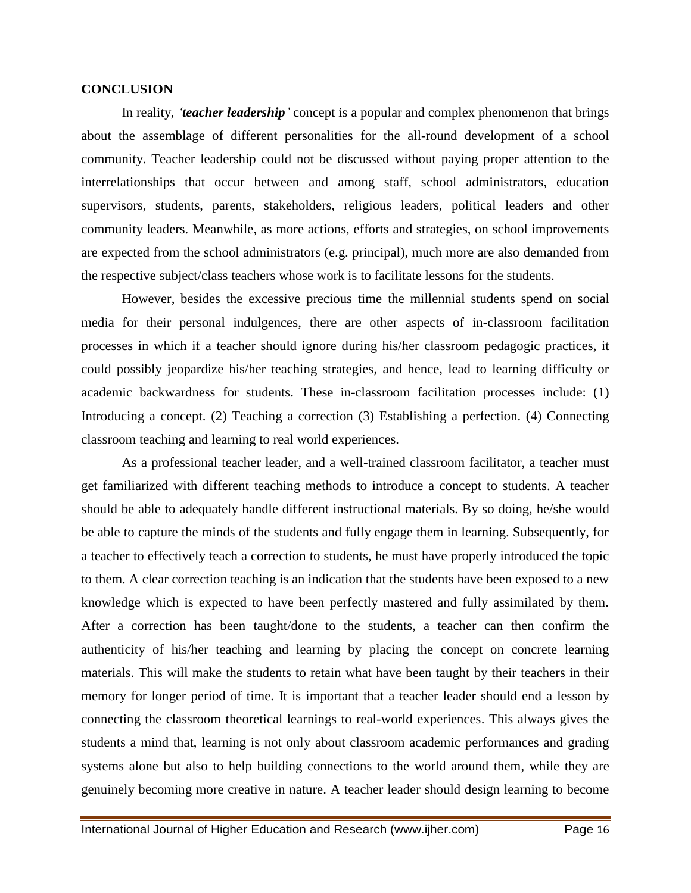#### **CONCLUSION**

In reality, *"teacher leadership"* concept is a popular and complex phenomenon that brings about the assemblage of different personalities for the all-round development of a school community. Teacher leadership could not be discussed without paying proper attention to the interrelationships that occur between and among staff, school administrators, education supervisors, students, parents, stakeholders, religious leaders, political leaders and other community leaders. Meanwhile, as more actions, efforts and strategies, on school improvements are expected from the school administrators (e.g. principal), much more are also demanded from the respective subject/class teachers whose work is to facilitate lessons for the students.

However, besides the excessive precious time the millennial students spend on social media for their personal indulgences, there are other aspects of in-classroom facilitation processes in which if a teacher should ignore during his/her classroom pedagogic practices, it could possibly jeopardize his/her teaching strategies, and hence, lead to learning difficulty or academic backwardness for students. These in-classroom facilitation processes include: (1) Introducing a concept. (2) Teaching a correction (3) Establishing a perfection. (4) Connecting classroom teaching and learning to real world experiences.

As a professional teacher leader, and a well-trained classroom facilitator, a teacher must get familiarized with different teaching methods to introduce a concept to students. A teacher should be able to adequately handle different instructional materials. By so doing, he/she would be able to capture the minds of the students and fully engage them in learning. Subsequently, for a teacher to effectively teach a correction to students, he must have properly introduced the topic to them. A clear correction teaching is an indication that the students have been exposed to a new knowledge which is expected to have been perfectly mastered and fully assimilated by them. After a correction has been taught/done to the students, a teacher can then confirm the authenticity of his/her teaching and learning by placing the concept on concrete learning materials. This will make the students to retain what have been taught by their teachers in their memory for longer period of time. It is important that a teacher leader should end a lesson by connecting the classroom theoretical learnings to real-world experiences. This always gives the students a mind that, learning is not only about classroom academic performances and grading systems alone but also to help building connections to the world around them, while they are genuinely becoming more creative in nature. A teacher leader should design learning to become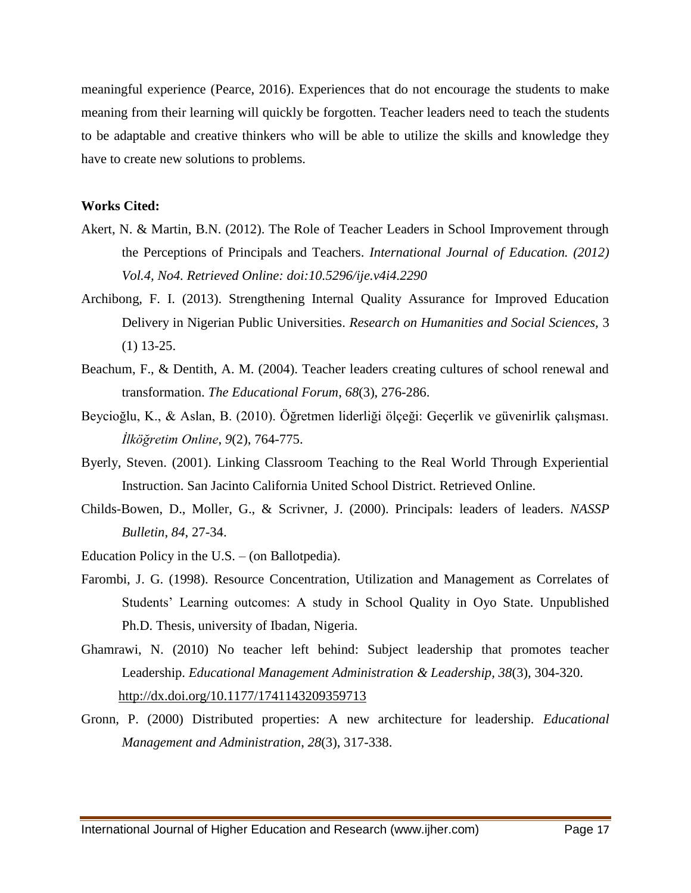meaningful experience (Pearce, 2016). Experiences that do not encourage the students to make meaning from their learning will quickly be forgotten. Teacher leaders need to teach the students to be adaptable and creative thinkers who will be able to utilize the skills and knowledge they have to create new solutions to problems.

#### **Works Cited:**

- Akert, N. & Martin, B.N. (2012). The Role of Teacher Leaders in School Improvement through the Perceptions of Principals and Teachers. *International Journal of Education. (2012) Vol.4, No4. Retrieved Online: doi:10.5296/ije.v4i4.2290*
- Archibong, F. I. (2013). Strengthening Internal Quality Assurance for Improved Education Delivery in Nigerian Public Universities. *Research on Humanities and Social Sciences,* 3 (1) 13-25.
- Beachum, F., & Dentith, A. M. (2004). Teacher leaders creating cultures of school renewal and transformation. *The Educational Forum*, *68*(3), 276-286.
- Beycioğlu, K., & Aslan, B. (2010). Öğretmen liderliği ölçeği: Geçerlik ve güvenirlik çalışması. *İlköğretim Online*, *9*(2), 764-775.
- Byerly, Steven. (2001). Linking Classroom Teaching to the Real World Through Experiential Instruction. San Jacinto California United School District. Retrieved Online.
- Childs-Bowen, D., Moller, G., & Scrivner, J. (2000). Principals: leaders of leaders. *NASSP Bulletin*, *84*, 27-34.
- Education Policy in the U.S. (on Ballotpedia).
- Farombi, J. G. (1998). Resource Concentration, Utilization and Management as Correlates of Students' Learning outcomes: A study in School Quality in Oyo State. Unpublished Ph.D. Thesis, university of Ibadan, Nigeria.
- Ghamrawi, N. (2010) No teacher left behind: Subject leadership that promotes teacher Leadership. *Educational Management Administration & Leadership, 38*(3), 304-320. <http://dx.doi.org/10.1177/1741143209359713>
- Gronn, P. (2000) Distributed properties: A new architecture for leadership. *Educational Management and Administration*, *28*(3), 317-338.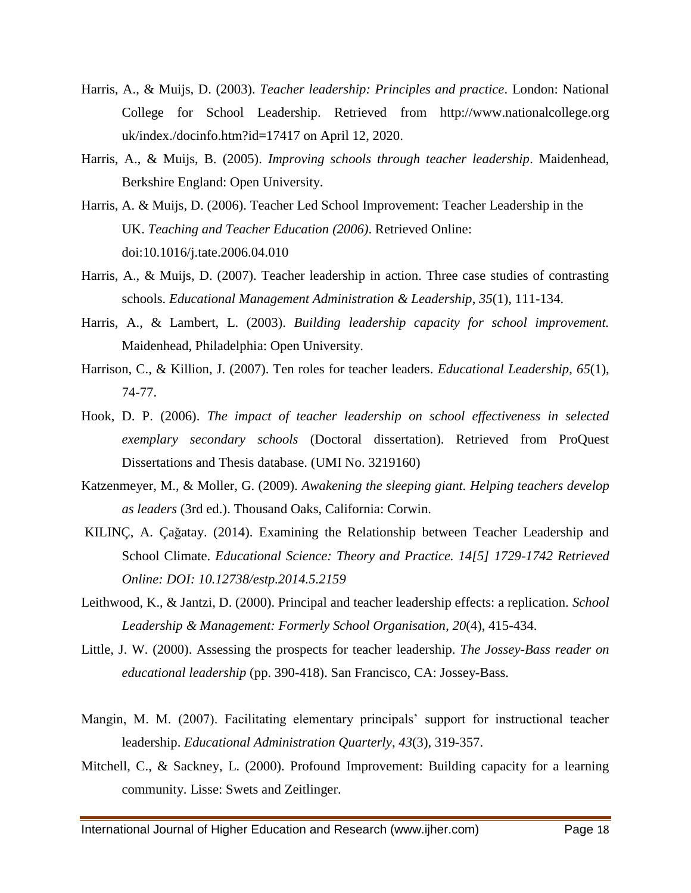- Harris, A., & Muijs, D. (2003). *Teacher leadership: Principles and practice*. London: National College for School Leadership. Retrieved from http://www.nationalcollege.org uk/index./docinfo.htm?id=17417 on April 12, 2020.
- Harris, A., & Muijs, B. (2005). *Improving schools through teacher leadership*. Maidenhead, Berkshire England: Open University.
- Harris, A. & Muijs, D. (2006). Teacher Led School Improvement: Teacher Leadership in the UK. *Teaching and Teacher Education (2006)*. Retrieved Online: doi:10.1016/j.tate.2006.04.010
- Harris, A., & Muijs, D. (2007). Teacher leadership in action. Three case studies of contrasting schools. *Educational Management Administration & Leadership*, *35*(1), 111-134.
- Harris, A., & Lambert, L. (2003). *Building leadership capacity for school improvement.*  Maidenhead, Philadelphia: Open University.
- Harrison, C., & Killion, J. (2007). Ten roles for teacher leaders. *Educational Leadership*, *65*(1), 74-77.
- Hook, D. P. (2006). *The impact of teacher leadership on school effectiveness in selected exemplary secondary schools* (Doctoral dissertation). Retrieved from ProQuest Dissertations and Thesis database. (UMI No. 3219160)
- Katzenmeyer, M., & Moller, G. (2009). *Awakening the sleeping giant. Helping teachers develop as leaders* (3rd ed.). Thousand Oaks, California: Corwin.
- KILINÇ, A. Çaǧatay. (2014). Examining the Relationship between Teacher Leadership and School Climate. *Educational Science: Theory and Practice. 14[5] 1729-1742 Retrieved Online: DOI: 10.12738/estp.2014.5.2159*
- Leithwood, K., & Jantzi, D. (2000). Principal and teacher leadership effects: a replication. *School Leadership & Management: Formerly School Organisation*, *20*(4), 415-434.
- Little, J. W. (2000). Assessing the prospects for teacher leadership. *The Jossey-Bass reader on educational leadership* (pp. 390-418). San Francisco, CA: Jossey-Bass.
- Mangin, M. M. (2007). Facilitating elementary principals' support for instructional teacher leadership. *Educational Administration Quarterly*, *43*(3), 319-357.
- Mitchell, C., & Sackney, L. (2000). Profound Improvement: Building capacity for a learning community. Lisse: Swets and Zeitlinger.